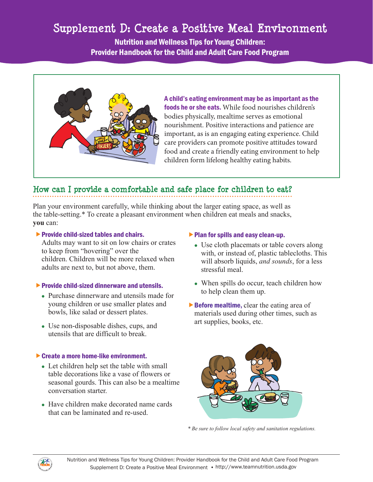# Supplement D: Create a Positive Meal Environment

Nutrition and Wellness Tips for Young Children: Provider Handbook for the Child and Adult Care Food Program



A child's eating environment may be as important as the foods he or she eats. While food nourishes children's bodies physically, mealtime serves as emotional nourishment. Positive interactions and patience are important, as is an engaging eating experience. Child care providers can promote positive attitudes toward food and create a friendly eating environment to help children form lifelong healthy eating habits.

# **How can I provide a comfortable and safe place for children to eat?**

Plan your environment carefully, while thinking about the larger eating space, as well as the table-setting.\* To create a pleasant environment when children eat meals and snacks, **you** can:

## $\blacktriangleright$  Provide child-sized tables and chairs.

Adults may want to sit on low chairs or crates to keep from "hovering" over the children. Children will be more relaxed when adults are next to, but not above, them.

## $\blacktriangleright$  Provide child-sized dinnerware and utensils.

- Purchase dinnerware and utensils made for young children or use smaller plates and bowls, like salad or dessert plates.
- Use non-disposable dishes, cups, and utensils that are difficult to break.

## ▶ Create a more home-like environment.

- Let children help set the table with small table decorations like a vase of flowers or seasonal gourds. This can also be a mealtime conversation starter.
- Have children make decorated name cards that can be laminated and re-used.

## $\blacktriangleright$  Plan for spills and easy clean-up.

- Use cloth placemats or table covers along with, or instead of, plastic tablecloths. This will absorb liquids, *and sounds*, for a less stressful meal.
- When spills do occur, teach children how to help clean them up.
- $\triangleright$  Before mealtime, clear the eating area of materials used during other times, such as art supplies, books, etc.



*\* Be sure to follow local safety and sanitation regulations.* 

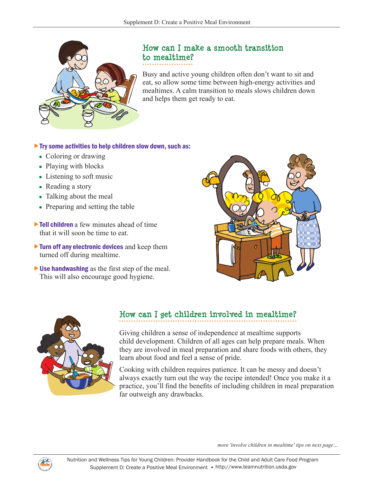

# **How can I make a smooth transition to mealtime?**

Busy and active young children often don't want to sit and eat, so allow some time between high-energy activities and mealtimes. A calm transition to meals slows children down and helps them get ready to eat.

## $\blacktriangleright$  Try some activities to help children slow down, such as:

- Coloring or drawing
- Playing with blocks
- Listening to soft music
- Reading a story
- Talking about the meal
- Preparing and setting the table
- **Tell children** a few minutes ahead of time that it will soon be time to eat.
- $\triangleright$  Turn off any electronic devices and keep them turned off during mealtime.
- Use handwashing as the first step of the meal. This will also encourage good hygiene.





# **How can I get children involved in mealtime?**

Giving children a sense of independence at mealtime supports child development. Children of all ages can help prepare meals. When they are involved in meal preparation and share foods with others, they learn about food and feel a sense of pride.

Cooking with children requires patience. It can be messy and doesn't always exactly turn out the way the recipe intended! Once you make it a practice, you'll find the benefits of including children in meal preparation far outweigh any drawbacks.

*more 'involve children in mealtime' tips on next page…* 

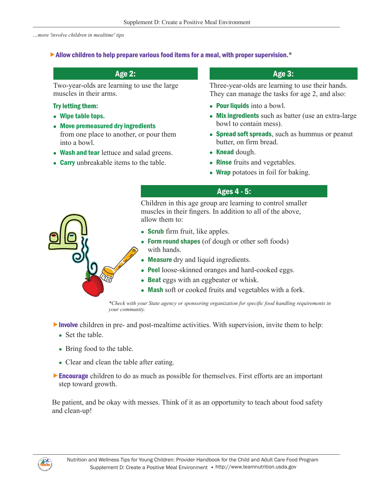*…more 'involve children in mealtime' tips* 

#### $\blacktriangleright$  Allow children to help prepare various food items for a meal, with proper supervision. $*$

Two-year-olds are learning to use the large muscles in their arms.

#### Try letting them:

- Wipe table tops.
- Move premeasured dry ingredients from one place to another, or pour them into a bowl.
- Wash and tear lettuce and salad greens.
- **Carry** unbreakable items to the table.

# Age 2: Age 2: Age 3: Age 3: Age 3:

Three-year-olds are learning to use their hands. They can manage the tasks for age 2, and also:

- Pour liquids into a bowl.
- Mix ingredients such as batter (use an extra-large bowl to contain mess).
- Spread soft spreads, such as hummus or peanut butter, on firm bread.
- $\bullet$  Knead dough.
- **Rinse** fruits and vegetables.
- Wrap potatoes in foil for baking.

## Ages 4 - 5:

Children in this age group are learning to control smaller muscles in their fingers. In addition to all of the above, allow them to:

- **Scrub** firm fruit, like apples.
- Form round shapes (of dough or other soft foods) with hands.
- Measure dry and liquid ingredients.
- Peel loose-skinned oranges and hard-cooked eggs.
- Beat eggs with an eggbeater or whisk.
- Mash soft or cooked fruits and vegetables with a fork.

\*Check with your State agency or sponsoring organization for specific food handling requirements in *your community.* 

- Involve children in pre- and post-mealtime activities. With supervision, invite them to help:
	- $\bullet$  Set the table.
	- Bring food to the table.
	- Clear and clean the table after eating.
- **Encourage** children to do as much as possible for themselves. First efforts are an important step toward growth.

Be patient, and be okay with messes. Think of it as an opportunity to teach about food safety and clean-up!

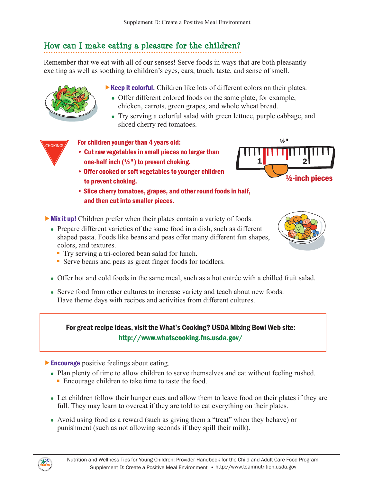# **How can I make eating a pleasure for the children?**

Remember that we eat with all of our senses! Serve foods in ways that are both pleasantly exciting as well as soothing to children's eyes, ears, touch, taste, and sense of smell.

 $\triangleright$  Keep it colorful. Children like lots of different colors on their plates.

- Offer different colored foods on the same plate, for example, chicken, carrots, green grapes, and whole wheat bread.
- Try serving a colorful salad with green lettuce, purple cabbage, and sliced cherry red tomatoes.

## **EXAMPLE 7 For children younger than 4 years old:**

- • Cut raw vegetables in small pieces no larger than one-half inch (½") to prevent choking.
- Offer cooked or soft vegetables to younger children to prevent choking.
- Slice cherry tomatoes, grapes, and other round foods in half, and then cut into smaller pieces.





- Mix it up! Children prefer when their plates contain a variety of foods.
	- Prepare different varieties of the same food in a dish, such as different shaped pasta. Foods like beans and peas offer many different fun shapes, colors, and textures.
		- Try serving a tri-colored bean salad for lunch.
		- Serve beans and peas as great finger foods for toddlers.
	- Offer hot and cold foods in the same meal, such as a hot entrée with a chilled fruit salad.
	- Serve food from other cultures to increase variety and teach about new foods. Have theme days with recipes and activities from different cultures.

# For great recipe ideas, visit the What's Cooking? USDA Mixing Bowl Web site: <http://www.whatscooking.fns.usda.gov/>

## **Encourage** positive feelings about eating.

- Plan plenty of time to allow children to serve themselves and eat without feeling rushed.
	- Encourage children to take time to taste the food.
- Let children follow their hunger cues and allow them to leave food on their plates if they are full. They may learn to overeat if they are told to eat everything on their plates.
- Avoid using food as a reward (such as giving them a "treat" when they behave) or punishment (such as not allowing seconds if they spill their milk).



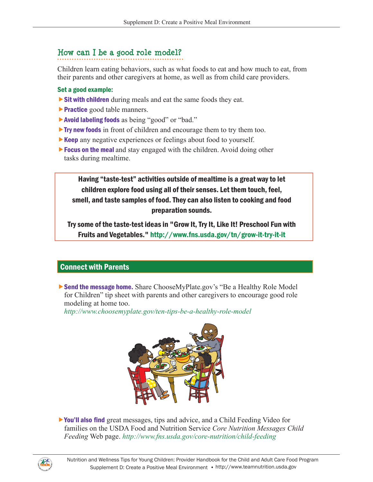# **How can I be a good role model?**

Children learn eating behaviors, such as what foods to eat and how much to eat, from their parents and other caregivers at home, as well as from child care providers.

#### Set a good example:

- **Sit with children** during meals and eat the same foods they eat.
- **Practice** good table manners.
- ▶ Avoid labeling foods as being "good" or "bad."
- **Try new foods** in front of children and encourage them to try them too.
- **Keep** any negative experiences or feelings about food to yourself.
- **Focus on the meal** and stay engaged with the children. Avoid doing other tasks during mealtime.

Having "taste-test" activities outside of mealtime is a great way to let children explore food using all of their senses. Let them touch, feel, smell, and taste samples of food. They can also listen to cooking and food preparation sounds.

Try some of the taste-test ideas in "Grow It, Try It, Like It! Preschool Fun with Fruits and Vegetables." <http://www.fns.usda.gov/tn/grow-it-try-it-it>

## Connect with Parents

Send the message home. Share ChooseMyPlate.gov's "Be a Healthy Role Model for Children" tip sheet with parents and other caregivers to encourage good role modeling at home too.

*<http://www.choosemyplate.gov/ten-tips-be-a-healthy-role-model>*



You'll also find great messages, tips and advice, and a Child Feeding Video for families on the USDA Food and Nutrition Service *Core Nutrition Messages Child Feeding* Web page. *<http://www.fns.usda.gov/core-nutrition/child-feeding>*